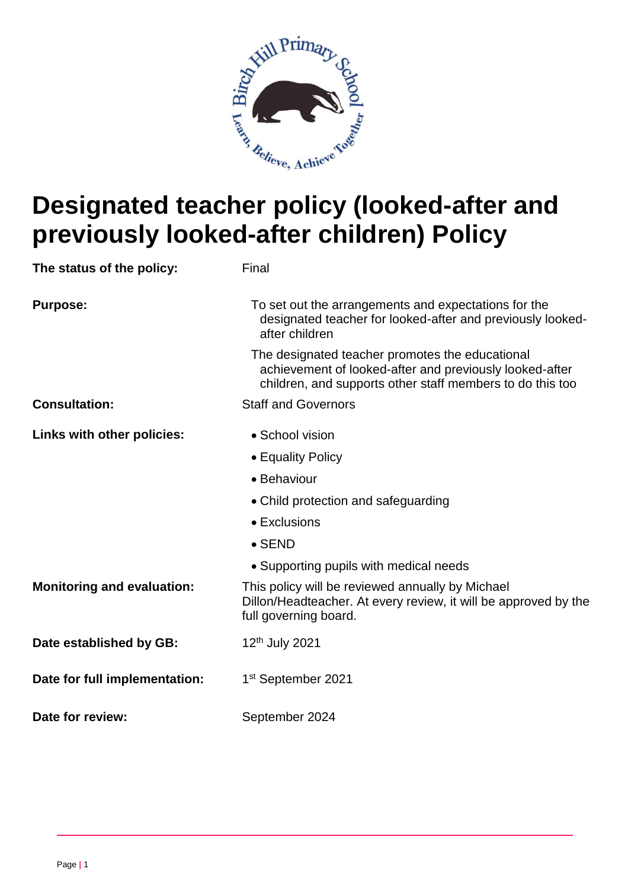

# **Designated teacher policy (looked-after and previously looked-after children) Policy**

| The status of the policy:         | Final                                                                                                                                                                   |
|-----------------------------------|-------------------------------------------------------------------------------------------------------------------------------------------------------------------------|
| <b>Purpose:</b>                   | To set out the arrangements and expectations for the<br>designated teacher for looked-after and previously looked-<br>after children                                    |
|                                   | The designated teacher promotes the educational<br>achievement of looked-after and previously looked-after<br>children, and supports other staff members to do this too |
| <b>Consultation:</b>              | <b>Staff and Governors</b>                                                                                                                                              |
| Links with other policies:        | • School vision                                                                                                                                                         |
|                                   | • Equality Policy                                                                                                                                                       |
|                                   | • Behaviour                                                                                                                                                             |
|                                   | • Child protection and safeguarding                                                                                                                                     |
|                                   | • Exclusions                                                                                                                                                            |
|                                   | $\bullet$ SEND                                                                                                                                                          |
|                                   | • Supporting pupils with medical needs                                                                                                                                  |
| <b>Monitoring and evaluation:</b> | This policy will be reviewed annually by Michael<br>Dillon/Headteacher. At every review, it will be approved by the<br>full governing board.                            |
| Date established by GB:           | 12 <sup>th</sup> July 2021                                                                                                                                              |
| Date for full implementation:     | 1 <sup>st</sup> September 2021                                                                                                                                          |
| Date for review:                  | September 2024                                                                                                                                                          |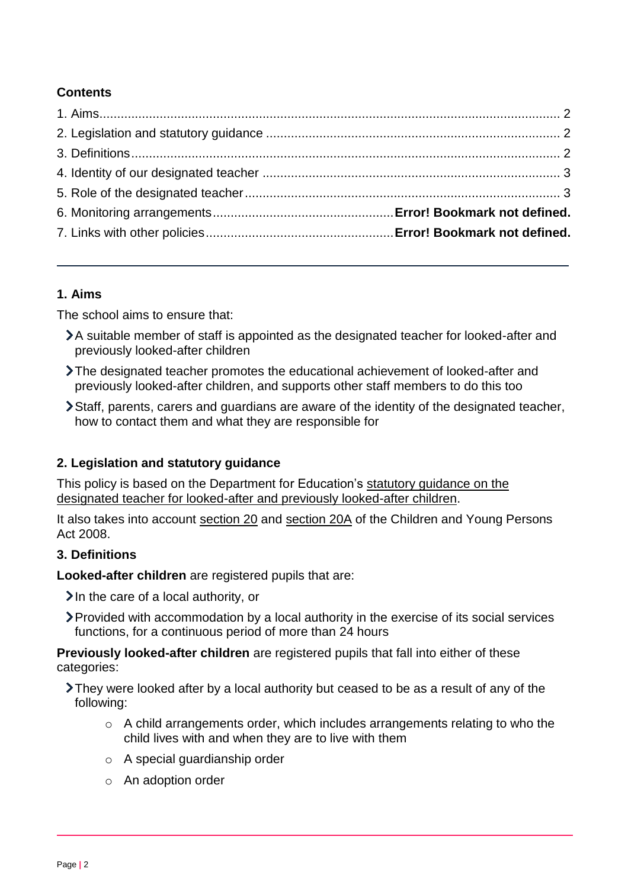# **Contents**

## <span id="page-1-0"></span>**1. Aims**

The school aims to ensure that:

- A suitable member of staff is appointed as the designated teacher for looked-after and previously looked-after children
- The designated teacher promotes the educational achievement of looked-after and previously looked-after children, and supports other staff members to do this too
- Staff, parents, carers and guardians are aware of the identity of the designated teacher, how to contact them and what they are responsible for

## <span id="page-1-1"></span>**2. Legislation and statutory guidance**

This policy is based on the Department for Education's [statutory guidance on the](https://www.gov.uk/government/publications/designated-teacher-for-looked-after-children)  [designated teacher for looked-after and previously looked-after children.](https://www.gov.uk/government/publications/designated-teacher-for-looked-after-children)

It also takes into account [section 20](http://www.legislation.gov.uk/ukpga/2008/23/section/20) and [section 20A](http://www.legislation.gov.uk/ukpga/2008/23/section/20A) of the Children and Young Persons Act 2008.

## <span id="page-1-2"></span>**3. Definitions**

**Looked-after children** are registered pupils that are:

 $\lambda$  In the care of a local authority, or

Provided with accommodation by a local authority in the exercise of its social services functions, for a continuous period of more than 24 hours

**Previously looked-after children** are registered pupils that fall into either of these categories:

- They were looked after by a local authority but ceased to be as a result of any of the following:
	- o A child arrangements order, which includes arrangements relating to who the child lives with and when they are to live with them
	- o A special guardianship order
	- o An adoption order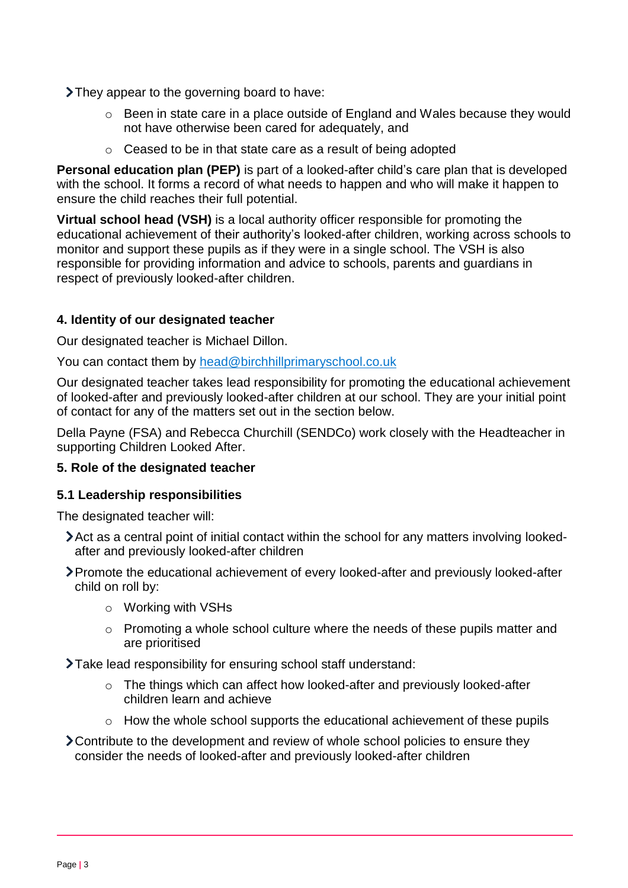They appear to the governing board to have:

- o Been in state care in a place outside of England and Wales because they would not have otherwise been cared for adequately, and
- o Ceased to be in that state care as a result of being adopted

**Personal education plan (PEP)** is part of a looked-after child's care plan that is developed with the school. It forms a record of what needs to happen and who will make it happen to ensure the child reaches their full potential.

**Virtual school head (VSH)** is a local authority officer responsible for promoting the educational achievement of their authority's looked-after children, working across schools to monitor and support these pupils as if they were in a single school. The VSH is also responsible for providing information and advice to schools, parents and guardians in respect of previously looked-after children.

### <span id="page-2-0"></span>**4. Identity of our designated teacher**

Our designated teacher is Michael Dillon.

You can contact them by [head@birchhillprimaryschool.co.uk](mailto:head@birchhillprimaryschool.co.uk)

Our designated teacher takes lead responsibility for promoting the educational achievement of looked-after and previously looked-after children at our school. They are your initial point of contact for any of the matters set out in the section below.

Della Payne (FSA) and Rebecca Churchill (SENDCo) work closely with the Headteacher in supporting Children Looked After.

#### <span id="page-2-1"></span>**5. Role of the designated teacher**

#### **5.1 Leadership responsibilities**

The designated teacher will:

- Act as a central point of initial contact within the school for any matters involving lookedafter and previously looked-after children
- Promote the educational achievement of every looked-after and previously looked-after child on roll by:
	- o Working with VSHs
	- o Promoting a whole school culture where the needs of these pupils matter and are prioritised
- Take lead responsibility for ensuring school staff understand:
	- o The things which can affect how looked-after and previously looked-after children learn and achieve
	- o How the whole school supports the educational achievement of these pupils
- Contribute to the development and review of whole school policies to ensure they consider the needs of looked-after and previously looked-after children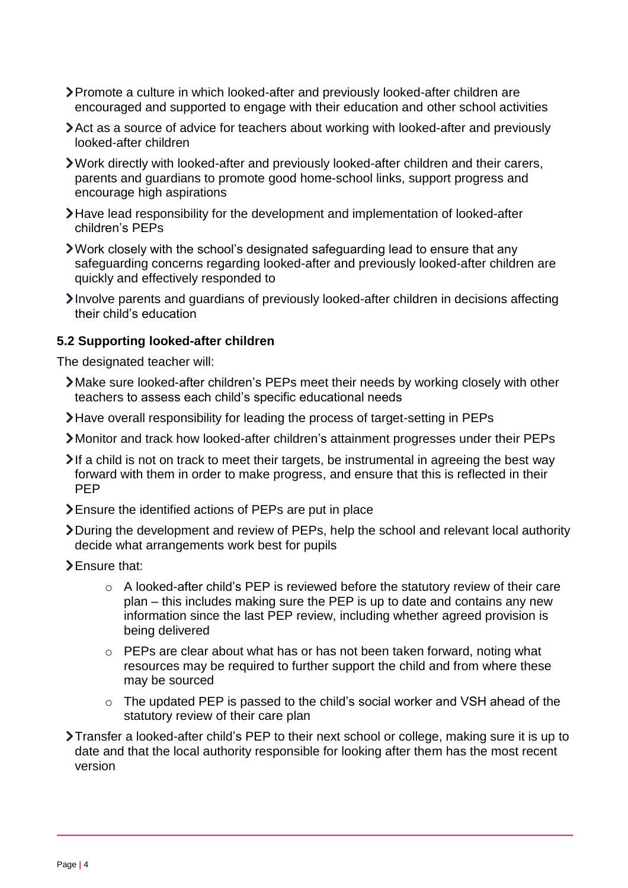- Promote a culture in which looked-after and previously looked-after children are encouraged and supported to engage with their education and other school activities
- Act as a source of advice for teachers about working with looked-after and previously looked-after children
- Work directly with looked-after and previously looked-after children and their carers, parents and guardians to promote good home-school links, support progress and encourage high aspirations
- Have lead responsibility for the development and implementation of looked-after children's PEPs
- Work closely with the school's designated safeguarding lead to ensure that any safeguarding concerns regarding looked-after and previously looked-after children are quickly and effectively responded to
- Involve parents and guardians of previously looked-after children in decisions affecting their child's education

#### **5.2 Supporting looked-after children**

The designated teacher will:

- Make sure looked-after children's PEPs meet their needs by working closely with other teachers to assess each child's specific educational needs
- Have overall responsibility for leading the process of target-setting in PEPs
- Monitor and track how looked-after children's attainment progresses under their PEPs
- $\blacktriangleright$  If a child is not on track to meet their targets, be instrumental in agreeing the best way forward with them in order to make progress, and ensure that this is reflected in their PEP
- Ensure the identified actions of PEPs are put in place
- During the development and review of PEPs, help the school and relevant local authority decide what arrangements work best for pupils
- > Ensure that:
	- o A looked-after child's PEP is reviewed before the statutory review of their care plan – this includes making sure the PEP is up to date and contains any new information since the last PEP review, including whether agreed provision is being delivered
	- o PEPs are clear about what has or has not been taken forward, noting what resources may be required to further support the child and from where these may be sourced
	- o The updated PEP is passed to the child's social worker and VSH ahead of the statutory review of their care plan
- Transfer a looked-after child's PEP to their next school or college, making sure it is up to date and that the local authority responsible for looking after them has the most recent version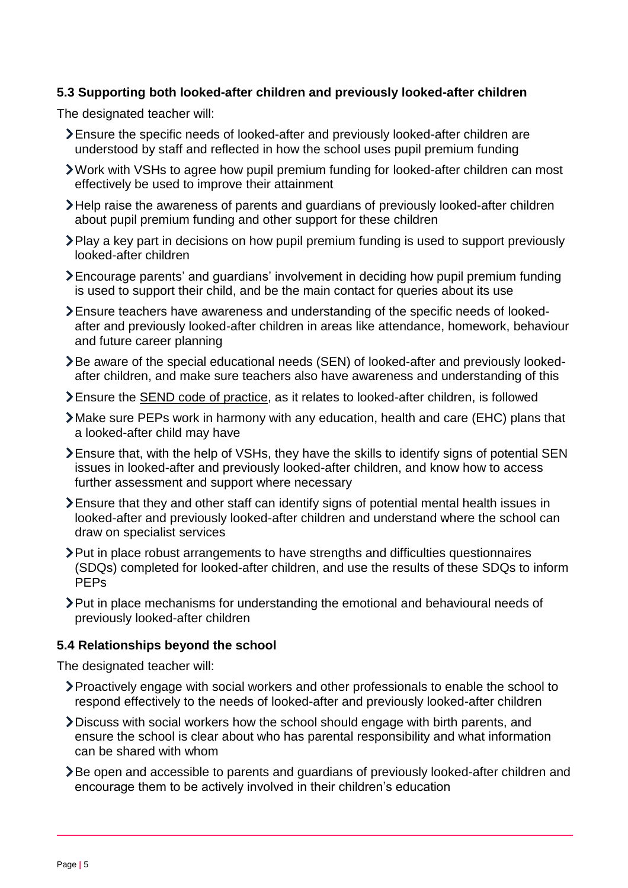## **5.3 Supporting both looked-after children and previously looked-after children**

The designated teacher will:

- Ensure the specific needs of looked-after and previously looked-after children are understood by staff and reflected in how the school uses pupil premium funding
- Work with VSHs to agree how pupil premium funding for looked-after children can most effectively be used to improve their attainment
- Help raise the awareness of parents and guardians of previously looked-after children about pupil premium funding and other support for these children
- Play a key part in decisions on how pupil premium funding is used to support previously looked-after children
- Encourage parents' and guardians' involvement in deciding how pupil premium funding is used to support their child, and be the main contact for queries about its use
- Ensure teachers have awareness and understanding of the specific needs of lookedafter and previously looked-after children in areas like attendance, homework, behaviour and future career planning
- Be aware of the special educational needs (SEN) of looked-after and previously lookedafter children, and make sure teachers also have awareness and understanding of this
- Ensure the [SEND code of practice,](https://www.gov.uk/government/publications/send-code-of-practice-0-to-25) as it relates to looked-after children, is followed
- Make sure PEPs work in harmony with any education, health and care (EHC) plans that a looked-after child may have
- Ensure that, with the help of VSHs, they have the skills to identify signs of potential SEN issues in looked-after and previously looked-after children, and know how to access further assessment and support where necessary
- Ensure that they and other staff can identify signs of potential mental health issues in looked-after and previously looked-after children and understand where the school can draw on specialist services
- Put in place robust arrangements to have strengths and difficulties questionnaires (SDQs) completed for looked-after children, and use the results of these SDQs to inform PEPs
- Put in place mechanisms for understanding the emotional and behavioural needs of previously looked-after children

#### **5.4 Relationships beyond the school**

The designated teacher will:

- Proactively engage with social workers and other professionals to enable the school to respond effectively to the needs of looked-after and previously looked-after children
- Discuss with social workers how the school should engage with birth parents, and ensure the school is clear about who has parental responsibility and what information can be shared with whom
- Be open and accessible to parents and guardians of previously looked-after children and encourage them to be actively involved in their children's education